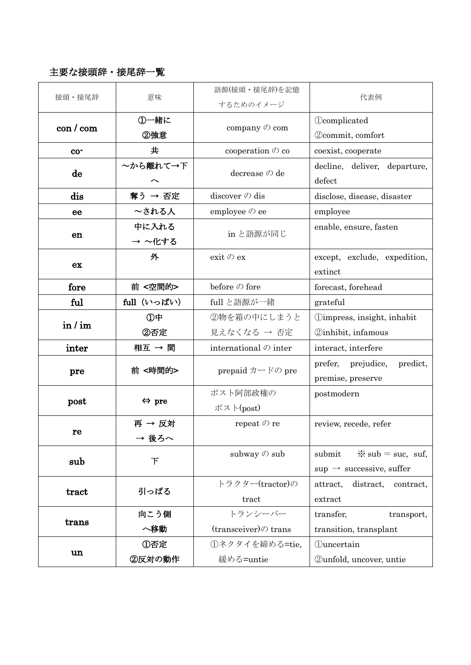## 主要な接頭辞・接尾辞一覧

| 接頭·接尾辞                 | 意味                    | 語源(接頭・接尾辞)を記憶<br>するためのイメージ                          | 代表例                                                 |
|------------------------|-----------------------|-----------------------------------------------------|-----------------------------------------------------|
| $\cos$ / $\cos$        | ①一緒に                  | company $\oslash$ com                               | <b>Ocomplicated</b>                                 |
|                        | ②強意                   |                                                     | 2)commit, comfort                                   |
| $co-$                  | 共                     | cooperation $\oslash$ co                            | coexist, cooperate                                  |
| de                     | ~から離れて→下              | decrease $\oslash$ de                               | decline, deliver, departure,<br>defect              |
| dis                    | 奪う → 否定               | discover $\oslash$ dis                              | disclose, disease, disaster                         |
| ee                     | ~される人                 | employee $\oslash$ ee                               | employee                                            |
| en                     | 中に入れる                 | in と語源が同じ                                           | enable, ensure, fasten                              |
|                        | → ~化する                |                                                     |                                                     |
| ex                     | 外                     | exit $\oslash$ ex                                   | except, exclude, expedition,                        |
|                        |                       |                                                     | extinct                                             |
| fore                   | 前 <空間的>               | before $\oslash$ fore                               | forecast, forehead                                  |
| ful                    | full (いっぱい)           | full と語源が一緒                                         | grateful                                            |
| in / im                | ①中                    | ②物を箱の中にしまうと                                         | <b><i><u>Oimpress</u></i></b> , insight, inhabit    |
|                        | ②否定                   | 見えなくなる → 否定                                         | <b>2</b> inhibit, infamous                          |
| inter                  | 相互 → 間                | international $\oslash$ inter                       | interact, interfere                                 |
| pre                    | 前<時間的>                | prepaid $\mathcal{D} - \mathcal{F} \mathcal{D}$ pre | prefer, prejudice,<br>predict,<br>premise, preserve |
| post                   | $\Leftrightarrow$ pre | ポスト阿部政権の                                            | postmodern                                          |
|                        |                       | ポスト(post)                                           |                                                     |
| re                     | 再 → 反対                | repeat $\oslash$ re                                 | review, recede, refer                               |
|                        | → 後ろへ                 |                                                     |                                                     |
| sub                    | 下                     | subway $\oslash$ sub                                | $\frac{1}{2}$ sub = suc, suf,<br>submit             |
|                        |                       |                                                     | $sup \rightarrow$ successive, suffer                |
| $\operatorname{tract}$ | 引っぱる                  | トラクター(tractor)の                                     | distract, contract,<br>attract,                     |
|                        |                       | tract                                               | extract                                             |
| trans                  | 向こう側                  | トランシーバー                                             | transfer,<br>transport,                             |
|                        | へ移動                   | $(transce)$ trans                                   | transition, transplant                              |
| un                     | ①否定                   | ①ネクタイを締める=tie,                                      | <b>Quncertain</b>                                   |
|                        | ②反対の動作                | 緩める=untie                                           | Qunfold, uncover, untie                             |